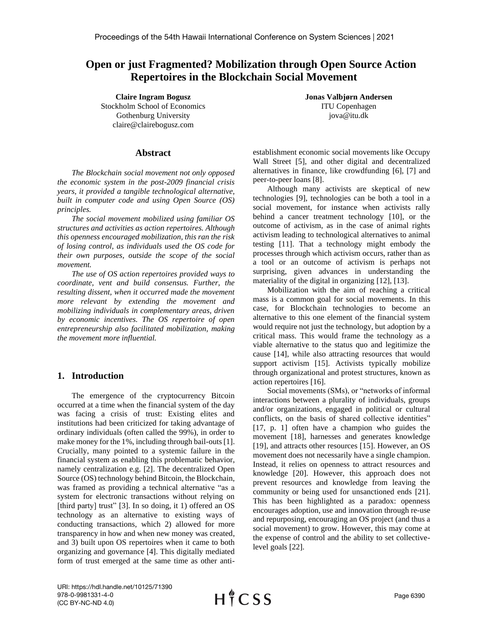# **Open or just Fragmented? Mobilization through Open Source Action Repertoires in the Blockchain Social Movement**

**Claire Ingram Bogusz** Stockholm School of Economics Gothenburg University claire@clairebogusz.com

**Abstract**

*The Blockchain social movement not only opposed the economic system in the post-2009 financial crisis years, it provided a tangible technological alternative, built in computer code and using Open Source (OS) principles.* 

*The social movement mobilized using familiar OS structures and activities as action repertoires. Although this openness encouraged mobilization, this ran the risk of losing control, as individuals used the OS code for their own purposes, outside the scope of the social movement.* 

*The use of OS action repertoires provided ways to coordinate, vent and build consensus. Further, the resulting dissent, when it occurred made the movement more relevant by extending the movement and mobilizing individuals in complementary areas, driven by economic incentives. The OS repertoire of open entrepreneurship also facilitated mobilization, making the movement more influential.*

# **1. Introduction**

The emergence of the cryptocurrency Bitcoin occurred at a time when the financial system of the day was facing a crisis of trust: Existing elites and institutions had been criticized for taking advantage of ordinary individuals (often called the 99%), in order to make money for the 1%, including through bail-outs [1]. Crucially, many pointed to a systemic failure in the financial system as enabling this problematic behavior, namely centralization e.g. [2]. The decentralized Open Source (OS) technology behind Bitcoin, the Blockchain, was framed as providing a technical alternative "as a system for electronic transactions without relying on [third party] trust" [3]. In so doing, it 1) offered an OS technology as an alternative to existing ways of conducting transactions, which 2) allowed for more transparency in how and when new money was created, and 3) built upon OS repertoires when it came to both organizing and governance [4]. This digitally mediated form of trust emerged at the same time as other anti**Jonas Valbjørn Andersen** ITU Copenhagen jova@itu.dk

establishment economic social movements like Occupy Wall Street [5], and other digital and decentralized alternatives in finance, like crowdfunding [6], [7] and peer-to-peer loans [8].

Although many activists are skeptical of new technologies [9], technologies can be both a tool in a social movement, for instance when activists rally behind a cancer treatment technology [10], or the outcome of activism, as in the case of animal rights activism leading to technological alternatives to animal testing [11]. That a technology might embody the processes through which activism occurs, rather than as a tool or an outcome of activism is perhaps not surprising, given advances in understanding the materiality of the digital in organizing [12], [13].

Mobilization with the aim of reaching a critical mass is a common goal for social movements. In this case, for Blockchain technologies to become an alternative to this one element of the financial system would require not just the technology, but adoption by a critical mass. This would frame the technology as a viable alternative to the status quo and legitimize the cause [14], while also attracting resources that would support activism [15]. Activists typically mobilize through organizational and protest structures, known as action repertoires [16].

Social movements (SMs), or "networks of informal interactions between a plurality of individuals, groups and/or organizations, engaged in political or cultural conflicts, on the basis of shared collective identities" [17, p. 1] often have a champion who guides the movement [18], harnesses and generates knowledge [19], and attracts other resources [15]. However, an OS movement does not necessarily have a single champion. Instead, it relies on openness to attract resources and knowledge [20]. However, this approach does not prevent resources and knowledge from leaving the community or being used for unsanctioned ends [21]. This has been highlighted as a paradox: openness encourages adoption, use and innovation through re-use and repurposing, encouraging an OS project (and thus a social movement) to grow. However, this may come at the expense of control and the ability to set collectivelevel goals [22].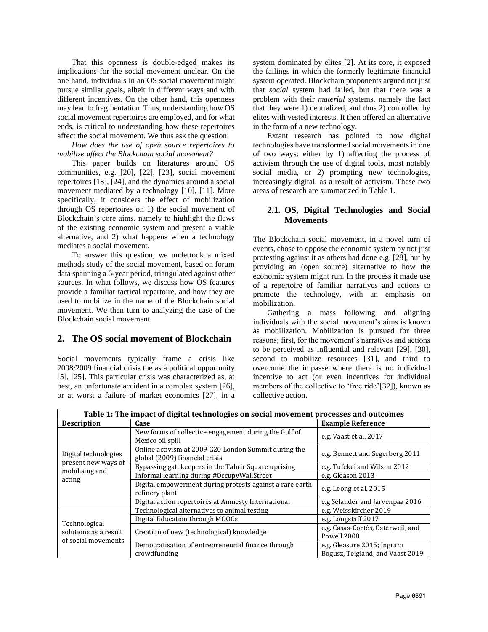That this openness is double-edged makes its implications for the social movement unclear. On the one hand, individuals in an OS social movement might pursue similar goals, albeit in different ways and with different incentives. On the other hand, this openness may lead to fragmentation. Thus, understanding how OS social movement repertoires are employed, and for what ends, is critical to understanding how these repertoires affect the social movement. We thus ask the question:

*How does the use of open source repertoires to mobilize affect the Blockchain social movement?*

This paper builds on literatures around OS communities, e.g. [20], [22], [23], social movement repertoires [18], [24], and the dynamics around a social movement mediated by a technology [10], [11]. More specifically, it considers the effect of mobilization through OS repertoires on 1) the social movement of Blockchain's core aims, namely to highlight the flaws of the existing economic system and present a viable alternative, and 2) what happens when a technology mediates a social movement.

To answer this question, we undertook a mixed methods study of the social movement, based on forum data spanning a 6-year period, triangulated against other sources. In what follows, we discuss how OS features provide a familiar tactical repertoire, and how they are used to mobilize in the name of the Blockchain social movement. We then turn to analyzing the case of the Blockchain social movement.

# **2. The OS social movement of Blockchain**

Social movements typically frame a crisis like 2008/2009 financial crisis the as a political opportunity [5], [25]. This particular crisis was characterized as, at best, an unfortunate accident in a complex system [26], or at worst a failure of market economics [27], in a

system dominated by elites [2]. At its core, it exposed the failings in which the formerly legitimate financial system operated. Blockchain proponents argued not just that *social* system had failed, but that there was a problem with their *material* systems, namely the fact that they were 1) centralized, and thus 2) controlled by elites with vested interests. It then offered an alternative in the form of a new technology.

Extant research has pointed to how digital technologies have transformed social movements in one of two ways: either by 1) affecting the process of activism through the use of digital tools, most notably social media, or 2) prompting new technologies, increasingly digital, as a result of activism. These two areas of research are summarized in Table 1.

# **2.1. OS, Digital Technologies and Social Movements**

The Blockchain social movement, in a novel turn of events, chose to oppose the economic system by not just protesting against it as others had done e.g. [28], but by providing an (open source) alternative to how the economic system might run. In the process it made use of a repertoire of familiar narratives and actions to promote the technology, with an emphasis on mobilization.

Gathering a mass following and aligning individuals with the social movement's aims is known as mobilization. Mobilization is pursued for three reasons; first, for the movement's narratives and actions to be perceived as influential and relevant [29], [30], second to mobilize resources [31], and third to overcome the impasse where there is no individual incentive to act (or even incentives for individual members of the collective to 'free ride'[32]), known as collective action.

| Table 1: The impact of digital technologies on social movement processes and outcomes |                                                                                        |                                                                |  |  |  |
|---------------------------------------------------------------------------------------|----------------------------------------------------------------------------------------|----------------------------------------------------------------|--|--|--|
| <b>Description</b>                                                                    | Case                                                                                   | <b>Example Reference</b>                                       |  |  |  |
| Digital technologies<br>present new ways of<br>mobilising and<br>acting               | New forms of collective engagement during the Gulf of<br>Mexico oil spill              | e.g. Vaast et al. 2017                                         |  |  |  |
|                                                                                       | Online activism at 2009 G20 London Summit during the<br>global (2009) financial crisis | e.g. Bennett and Segerberg 2011                                |  |  |  |
|                                                                                       | Bypassing gatekeepers in the Tahrir Square uprising                                    | e.g. Tufekci and Wilson 2012                                   |  |  |  |
|                                                                                       | Informal learning during #OccupyWallStreet                                             | e.g. Gleason 2013                                              |  |  |  |
|                                                                                       | Digital empowerment during protests against a rare earth<br>refinery plant             | e.g. Leong et al. 2015                                         |  |  |  |
|                                                                                       | Digital action repertoires at Amnesty International                                    | e.g Selander and Jarvenpaa 2016                                |  |  |  |
| Technological<br>solutions as a result<br>of social movements                         | Technological alternatives to animal testing                                           | e.g. Weisskircher 2019                                         |  |  |  |
|                                                                                       | Digital Education through MOOCs                                                        | e.g. Longstaff 2017                                            |  |  |  |
|                                                                                       | Creation of new (technological) knowledge                                              | e.g. Casas-Cortés, Osterweil, and<br>Powell 2008               |  |  |  |
|                                                                                       | Democratisation of entrepreneurial finance through<br>crowdfunding                     | e.g. Gleasure 2015; Ingram<br>Bogusz, Teigland, and Vaast 2019 |  |  |  |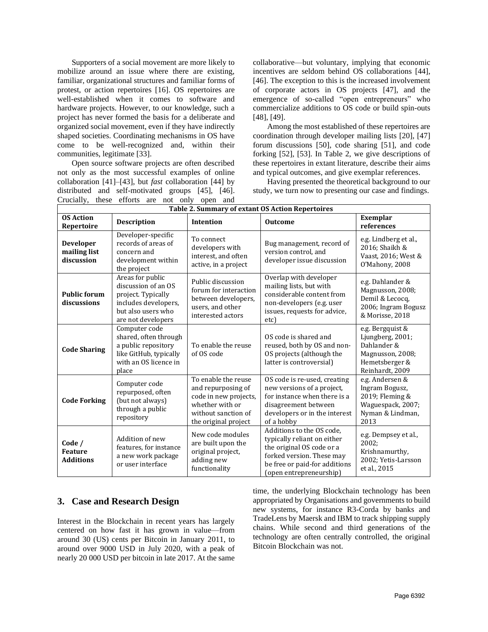Supporters of a social movement are more likely to mobilize around an issue where there are existing, familiar, organizational structures and familiar forms of protest, or action repertoires [16]. OS repertoires are well-established when it comes to software and hardware projects. However, to our knowledge, such a project has never formed the basis for a deliberate and organized social movement, even if they have indirectly shaped societies. Coordinating mechanisms in OS have come to be well-recognized and, within their communities, legitimate [33].

Open source software projects are often described not only as the most successful examples of online collaboration [41]–[43], but *fast* collaboration [44] by distributed and self-motivated groups [45], [46]. Crucially, these efforts are not only open and **Table 2. Summary of extant OS Action Repertoires**

collaborative—but voluntary, implying that economic incentives are seldom behind OS collaborations [44], [46]. The exception to this is the increased involvement of corporate actors in OS projects [47], and the emergence of so-called "open entrepreneurs" who commercialize additions to OS code or build spin-outs [48], [49].

Among the most established of these repertoires are coordination through developer mailing lists [20], [47] forum discussions [50], code sharing [51], and code forking [52], [53]. In Table 2, we give descriptions of these repertoires in extant literature, describe their aims and typical outcomes, and give exemplar references.

Having presented the theoretical background to our study, we turn now to presenting our case and findings.

| <b>OS Action</b><br>Repertoire                 | <b>Description</b>                                                                                                                | Intention                                                                                                                            | <b>Outcome</b>                                                                                                                                                                 | Exemplar<br>references                                                                                       |
|------------------------------------------------|-----------------------------------------------------------------------------------------------------------------------------------|--------------------------------------------------------------------------------------------------------------------------------------|--------------------------------------------------------------------------------------------------------------------------------------------------------------------------------|--------------------------------------------------------------------------------------------------------------|
| <b>Developer</b><br>mailing list<br>discussion | Developer-specific<br>records of areas of<br>concern and<br>development within<br>the project                                     | To connect<br>developers with<br>interest, and often<br>active, in a project                                                         | Bug management, record of<br>version control, and<br>developer issue discussion                                                                                                | e.g. Lindberg et al.,<br>2016; Shaikh &<br>Vaast, 2016; West &<br>O'Mahony, 2008                             |
| <b>Public forum</b><br>discussions             | Areas for public<br>discussion of an OS<br>project. Typically<br>includes developers,<br>but also users who<br>are not developers | Public discussion<br>forum for interaction<br>between developers,<br>users, and other<br>interested actors                           | Overlap with developer<br>mailing lists, but with<br>considerable content from<br>non-developers (e.g. user<br>issues, requests for advice,<br>etc)                            | e.g. Dahlander &<br>Magnusson, 2008;<br>Demil & Lecocq,<br>2006; Ingram Bogusz<br>& Morisse, 2018            |
| <b>Code Sharing</b>                            | Computer code<br>shared, often through<br>a public repository<br>like GitHub, typically<br>with an OS licence in<br>place         | To enable the reuse<br>of OS code                                                                                                    | OS code is shared and<br>reused, both by OS and non-<br>OS projects (although the<br>latter is controversial)                                                                  | e.g. Bergquist &<br>Ljungberg, 2001;<br>Dahlander &<br>Magnusson, 2008;<br>Hemetsberger &<br>Reinhardt, 2009 |
| <b>Code Forking</b>                            | Computer code<br>repurposed, often<br>(but not always)<br>through a public<br>repository                                          | To enable the reuse<br>and repurposing of<br>code in new projects,<br>whether with or<br>without sanction of<br>the original project | OS code is re-used, creating<br>new versions of a project,<br>for instance when there is a<br>disagreement between<br>developers or in the interest<br>of a hobby              | e.g. Andersen &<br>Ingram Bogusz,<br>2019; Fleming &<br>Waguespack, 2007;<br>Nyman & Lindman,<br>2013        |
| Code /<br><b>Feature</b><br><b>Additions</b>   | Addition of new<br>features, for instance<br>a new work package<br>or user interface                                              | New code modules<br>are built upon the<br>original project,<br>adding new<br>functionality                                           | Additions to the OS code,<br>typically reliant on either<br>the original OS code or a<br>forked version. These may<br>be free or paid-for additions<br>(open entrepreneurship) | e.g. Dempsey et al.,<br>2002:<br>Krishnamurthy,<br>2002; Yetis-Larsson<br>et al., 2015                       |

# **3. Case and Research Design**

Interest in the Blockchain in recent years has largely centered on how fast it has grown in value—from around 30 (US) cents per Bitcoin in January 2011, to around over 9000 USD in July 2020, with a peak of nearly 20 000 USD per bitcoin in late 2017. At the same

time, the underlying Blockchain technology has been appropriated by Organisations and governments to build new systems, for instance R3-Corda by banks and TradeLens by Maersk and IBM to track shipping supply chains. While second and third generations of the technology are often centrally controlled, the original Bitcoin Blockchain was not.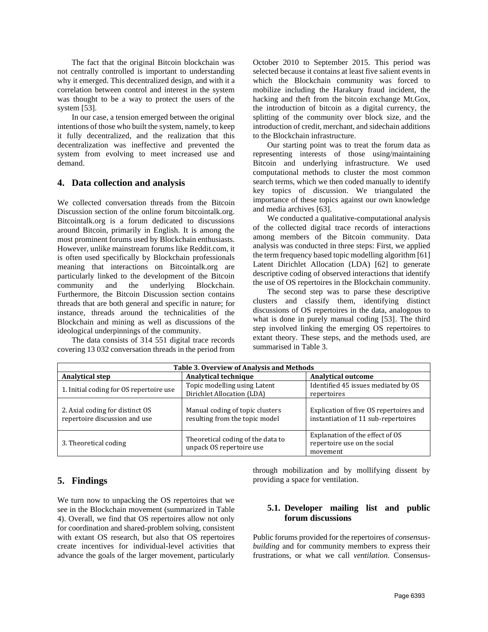The fact that the original Bitcoin blockchain was not centrally controlled is important to understanding why it emerged. This decentralized design, and with it a correlation between control and interest in the system was thought to be a way to protect the users of the system [53].

In our case, a tension emerged between the original intentions of those who built the system, namely, to keep it fully decentralized, and the realization that this decentralization was ineffective and prevented the system from evolving to meet increased use and demand.

# **4. Data collection and analysis**

We collected conversation threads from the Bitcoin Discussion section of the online forum bitcointalk.org. Bitcointalk.org is a forum dedicated to discussions around Bitcoin, primarily in English. It is among the most prominent forums used by Blockchain enthusiasts. However, unlike mainstream forums like Reddit.com, it is often used specifically by Blockchain professionals meaning that interactions on Bitcointalk.org are particularly linked to the development of the Bitcoin community and the underlying Blockchain. Furthermore, the Bitcoin Discussion section contains threads that are both general and specific in nature; for instance, threads around the technicalities of the Blockchain and mining as well as discussions of the ideological underpinnings of the community.

The data consists of 314 551 digital trace records covering 13 032 conversation threads in the period from October 2010 to September 2015. This period was selected because it contains at least five salient events in which the Blockchain community was forced to mobilize including the Harakury fraud incident, the hacking and theft from the bitcoin exchange Mt.Gox, the introduction of bitcoin as a digital currency, the splitting of the community over block size, and the introduction of credit, merchant, and sidechain additions to the Blockchain infrastructure.

Our starting point was to treat the forum data as representing interests of those using/maintaining Bitcoin and underlying infrastructure. We used computational methods to cluster the most common search terms, which we then coded manually to identify key topics of discussion. We triangulated the importance of these topics against our own knowledge and media archives [63].

We conducted a qualitative-computational analysis of the collected digital trace records of interactions among members of the Bitcoin community. Data analysis was conducted in three steps: First, we applied the term frequency based topic modelling algorithm [61] Latent Dirichlet Allocation (LDA) [62] to generate descriptive coding of observed interactions that identify the use of OS repertoires in the Blockchain community.

The second step was to parse these descriptive clusters and classify them, identifying distinct discussions of OS repertoires in the data, analogous to what is done in purely manual coding [53]. The third step involved linking the emerging OS repertoires to extant theory. These steps, and the methods used, are summarised in Table 3.

| Table 3. Overview of Analysis and Methods                        |                                                                   |                                                                               |  |  |  |
|------------------------------------------------------------------|-------------------------------------------------------------------|-------------------------------------------------------------------------------|--|--|--|
| Analytical step                                                  | <b>Analytical technique</b>                                       | <b>Analytical outcome</b>                                                     |  |  |  |
| 1. Initial coding for OS repertoire use                          | Topic modelling using Latent<br>Dirichlet Allocation (LDA)        | Identified 45 issues mediated by OS<br>repertoires                            |  |  |  |
| 2. Axial coding for distinct OS<br>repertoire discussion and use | Manual coding of topic clusters<br>resulting from the topic model | Explication of five OS repertoires and<br>instantiation of 11 sub-repertoires |  |  |  |
| 3. Theoretical coding                                            | Theoretical coding of the data to<br>unpack OS repertoire use     | Explanation of the effect of OS<br>repertoire use on the social<br>movement   |  |  |  |

# **5. Findings**

We turn now to unpacking the OS repertoires that we see in the Blockchain movement (summarized in Table 4). Overall, we find that OS repertoires allow not only for coordination and shared-problem solving, consistent with extant OS research, but also that OS repertoires create incentives for individual-level activities that advance the goals of the larger movement, particularly

through mobilization and by mollifying dissent by providing a space for ventilation.

# **5.1. Developer mailing list and public forum discussions**

Public forums provided for the repertoires of *consensusbuilding* and for community members to express their frustrations, or what we call *ventilation.* Consensus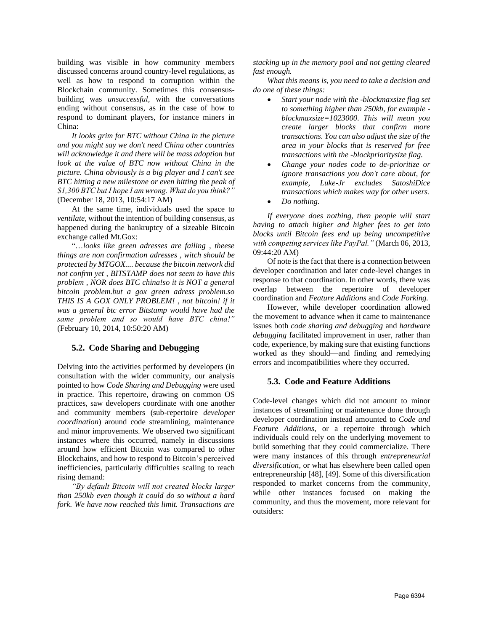building was visible in how community members discussed concerns around country-level regulations, as well as how to respond to corruption within the Blockchain community. Sometimes this consensusbuilding was *unsuccessful*, with the conversations ending without consensus, as in the case of how to respond to dominant players, for instance miners in China:

*It looks grim for BTC without China in the picture and you might say we don't need China other countries will acknowledge it and there will be mass adoption but look at the value of BTC now without China in the picture. China obviously is a big player and I can't see BTC hitting a new milestone or even hitting the peak of \$1,300 BTC but I hope I am wrong. What do you think?"* (December 18, 2013, 10:54:17 AM)

At the same time, individuals used the space to *ventilate*, without the intention of building consensus, as happened during the bankruptcy of a sizeable Bitcoin exchange called Mt.Gox:

"…*looks like green adresses are failing , theese things are non confirmation adresses , witch should be protected by MTGOX.... because the bitcoin network did not confrm yet , BITSTAMP does not seem to have this problem , NOR does BTC china!so it is NOT a general bitcoin problem.but a gox green adress problem.so THIS IS A GOX ONLY PROBLEM! , not bitcoin! if it was a general btc error Bitstamp would have had the same problem and so would have BTC china!"*  (February 10, 2014, 10:50:20 AM)

#### **5.2. Code Sharing and Debugging**

Delving into the activities performed by developers (in consultation with the wider community, our analysis pointed to how *Code Sharing and Debugging* were used in practice*.* This repertoire, drawing on common OS practices, saw developers coordinate with one another and community members (sub-repertoire *developer coordination*) around code streamlining, maintenance and minor improvements. We observed two significant instances where this occurred, namely in discussions around how efficient Bitcoin was compared to other Blockchains, and how to respond to Bitcoin's perceived inefficiencies, particularly difficulties scaling to reach rising demand:

*"By default Bitcoin will not created blocks larger than 250kb even though it could do so without a hard fork. We have now reached this limit. Transactions are* 

*stacking up in the memory pool and not getting cleared fast enough.*

*What this means is, you need to take a decision and do one of these things:*

- *Start your node with the -blockmaxsize flag set to something higher than 250kb, for example blockmaxsize=1023000. This will mean you create larger blocks that confirm more transactions. You can also adjust the size of the area in your blocks that is reserved for free transactions with the -blockprioritysize flag.*
- *Change your nodes code to de-prioritize or ignore transactions you don't care about, for example, Luke-Jr excludes SatoshiDice transactions which makes way for other users.*
- *Do nothing.*

*If everyone does nothing, then people will start having to attach higher and higher fees to get into blocks until Bitcoin fees end up being uncompetitive with competing services like PayPal."* (March 06, 2013, 09:44:20 AM)

Of note is the fact that there is a connection between developer coordination and later code-level changes in response to that coordination. In other words, there was overlap between the repertoire of developer coordination and *Feature Additions* and *Code Forking.*

However, while developer coordination allowed the movement to advance when it came to maintenance issues both *code sharing and debugging* and *hardware debugging* facilitated improvement in user, rather than code, experience, by making sure that existing functions worked as they should—and finding and remedying errors and incompatibilities where they occurred.

# **5.3. Code and Feature Additions**

Code-level changes which did not amount to minor instances of streamlining or maintenance done through developer coordination instead amounted to *Code and Feature Additions,* or a repertoire through which individuals could rely on the underlying movement to build something that they could commercialize. There were many instances of this through *entrepreneurial diversification*, or what has elsewhere been called open entrepreneurship [48], [49]. Some of this diversification responded to market concerns from the community, while other instances focused on making the community, and thus the movement, more relevant for outsiders: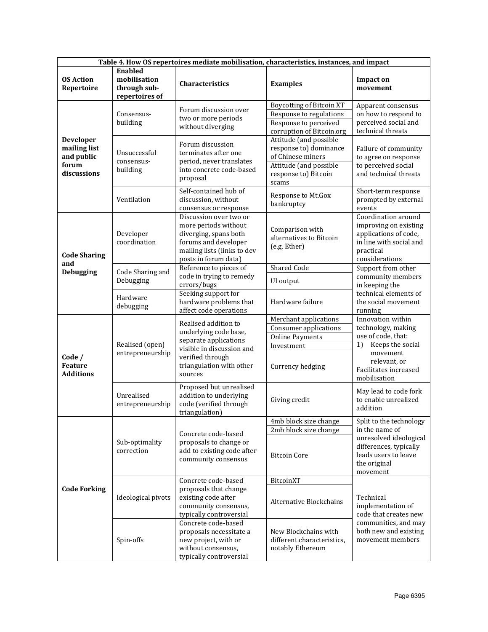| Table 4. How OS repertoires mediate mobilisation, characteristics, instances, and impact |                                                                  |                                                                                                                                                                |                                                                                                                                  |                                                                                                                                 |
|------------------------------------------------------------------------------------------|------------------------------------------------------------------|----------------------------------------------------------------------------------------------------------------------------------------------------------------|----------------------------------------------------------------------------------------------------------------------------------|---------------------------------------------------------------------------------------------------------------------------------|
| <b>OS Action</b><br>Repertoire                                                           | <b>Enabled</b><br>mobilisation<br>through sub-<br>repertoires of | Characteristics                                                                                                                                                | <b>Examples</b>                                                                                                                  | <b>Impact on</b><br>movement                                                                                                    |
| Developer<br>mailing list<br>and public<br>forum<br>discussions                          | Consensus-<br>building                                           | Forum discussion over<br>two or more periods<br>without diverging                                                                                              | <b>Boycotting of Bitcoin XT</b><br>Response to regulations<br>Response to perceived<br>corruption of Bitcoin.org                 | Apparent consensus<br>on how to respond to<br>perceived social and<br>technical threats                                         |
|                                                                                          | Unsuccessful<br>consensus-<br>building                           | Forum discussion<br>terminates after one<br>period, never translates<br>into concrete code-based<br>proposal                                                   | Attitude (and possible<br>response to) dominance<br>of Chinese miners<br>Attitude (and possible<br>response to) Bitcoin<br>scams | Failure of community<br>to agree on response<br>to perceived social<br>and technical threats                                    |
|                                                                                          | Ventilation                                                      | Self-contained hub of<br>discussion, without<br>consensus or response                                                                                          | Response to Mt.Gox<br>bankruptcy                                                                                                 | Short-term response<br>prompted by external<br>events                                                                           |
| <b>Code Sharing</b>                                                                      | Developer<br>coordination                                        | Discussion over two or<br>more periods without<br>diverging, spans both<br>forums and developer<br>mailing lists (links to dev<br>posts in forum data)         | Comparison with<br>alternatives to Bitcoin<br>(e.g. Ether)                                                                       | Coordination around<br>improving on existing<br>applications of code,<br>in line with social and<br>practical<br>considerations |
| and<br>Debugging                                                                         | Code Sharing and                                                 | Reference to pieces of<br>code in trying to remedy                                                                                                             | <b>Shared Code</b>                                                                                                               | Support from other<br>community members                                                                                         |
|                                                                                          | Debugging<br>Hardware<br>debugging                               | errors/bugs<br>Seeking support for<br>hardware problems that<br>affect code operations                                                                         | UI output<br>Hardware failure                                                                                                    | in keeping the<br>technical elements of<br>the social movement<br>running                                                       |
| Code /<br><b>Feature</b><br><b>Additions</b>                                             | Realised (open)<br>entrepreneurship                              | Realised addition to<br>underlying code base,<br>separate applications<br>visible in discussion and<br>verified through<br>triangulation with other<br>sources | Merchant applications<br>Consumer applications<br><b>Online Payments</b><br>Investment                                           | Innovation within<br>technology, making<br>use of code, that:<br>Keeps the social<br>1)<br>movement                             |
|                                                                                          |                                                                  |                                                                                                                                                                | Currency hedging                                                                                                                 | relevant, or<br>Facilitates increased<br>mobilisation                                                                           |
|                                                                                          | Unrealised<br>entrepreneurship                                   | Proposed but unrealised<br>addition to underlying<br>code (verified through<br>triangulation)                                                                  | Giving credit                                                                                                                    | May lead to code fork<br>to enable unrealized<br>addition                                                                       |
|                                                                                          | Sub-optimality<br>correction                                     | Concrete code-based<br>proposals to change or<br>add to existing code after<br>community consensus                                                             | 4mb block size change<br>2mb block size change                                                                                   | Split to the technology<br>in the name of                                                                                       |
|                                                                                          |                                                                  |                                                                                                                                                                | <b>Bitcoin Core</b>                                                                                                              | unresolved ideological<br>differences, typically<br>leads users to leave<br>the original<br>movement                            |
|                                                                                          | Ideological pivots                                               | Concrete code-based                                                                                                                                            | BitcoinXT                                                                                                                        |                                                                                                                                 |
| <b>Code Forking</b>                                                                      |                                                                  | proposals that change<br>existing code after<br>community consensus,<br>typically controversial                                                                | Alternative Blockchains                                                                                                          | Technical<br>implementation of<br>code that creates new                                                                         |
|                                                                                          | Spin-offs                                                        | Concrete code-based<br>proposals necessitate a<br>new project, with or<br>without consensus,<br>typically controversial                                        | New Blockchains with<br>different characteristics,<br>notably Ethereum                                                           | communities, and may<br>both new and existing<br>movement members                                                               |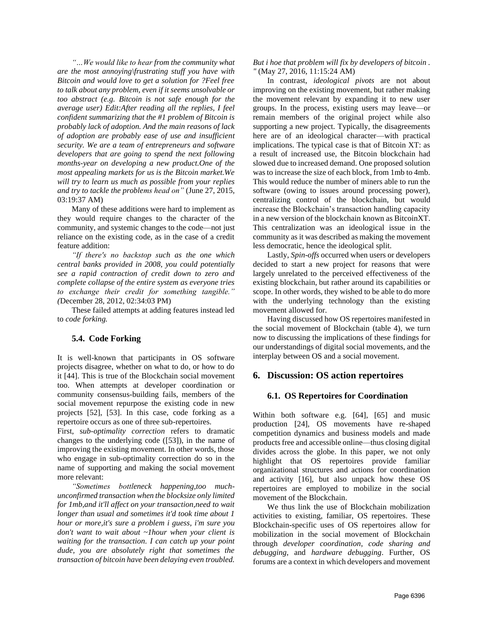*"…We would like to hear from the community what are the most annoying\frustrating stuff you have with Bitcoin and would love to get a solution for ?Feel free to talk about any problem, even if it seems unsolvable or too abstract (e.g. Bitcoin is not safe enough for the average user) Edit:After reading all the replies, I feel confident summarizing that the #1 problem of Bitcoin is probably lack of adoption. And the main reasons of lack of adoption are probably ease of use and insufficient security. We are a team of entrepreneurs and software developers that are going to spend the next following months-year on developing a new product.One of the most appealing markets for us is the Bitcoin market.We will try to learn us much as possible from your replies and try to tackle the problems head on"* (June 27, 2015, 03:19:37 AM)

Many of these additions were hard to implement as they would require changes to the character of the community, and systemic changes to the code—not just reliance on the existing code, as in the case of a credit feature addition:

*"If there's no backstop such as the one which central banks provided in 2008, you could potentially see a rapid contraction of credit down to zero and complete collapse of the entire system as everyone tries to exchange their credit for something tangible." (*December 28, 2012, 02:34:03 PM)

These failed attempts at adding features instead led to *code forking.*

# **5.4. Code Forking**

It is well-known that participants in OS software projects disagree, whether on what to do, or how to do it [44]. This is true of the Blockchain social movement too. When attempts at developer coordination or community consensus-building fails, members of the social movement repurpose the existing code in new projects [52], [53]. In this case, code forking as a repertoire occurs as one of three sub-repertoires.

First, s*ub-optimality correction* refers to dramatic changes to the underlying code ([53]), in the name of improving the existing movement. In other words, those who engage in sub-optimality correction do so in the name of supporting and making the social movement more relevant:

*"Sometimes bottleneck happening,too muchunconfirmed transaction when the blocksize only limited for 1mb,and it'll affect on your transaction,need to wait longer than usual and sometimes it'd took time about 1 hour or more,it's sure a problem i guess, i'm sure you don't want to wait about ~1hour when your client is waiting for the transaction. I can catch up your point dude, you are absolutely right that sometimes the transaction of bitcoin have been delaying even troubled.* 

*But i hoe that problem will fix by developers of bitcoin . "* (May 27, 2016, 11:15:24 AM)

In contrast, *ideological pivots* are not about improving on the existing movement, but rather making the movement relevant by expanding it to new user groups. In the process, existing users may leave—or remain members of the original project while also supporting a new project. Typically, the disagreements here are of an ideological character—with practical implications. The typical case is that of Bitcoin XT: as a result of increased use, the Bitcoin blockchain had slowed due to increased demand. One proposed solution was to increase the size of each block, from 1mb to 4mb. This would reduce the number of miners able to run the software (owing to issues around processing power), centralizing control of the blockchain, but would increase the Blockchain's transaction handling capacity in a new version of the blockchain known as BitcoinXT. This centralization was an ideological issue in the community as it was described as making the movement less democratic, hence the ideological split.

Lastly, *Spin-offs* occurred when users or developers decided to start a new project for reasons that were largely unrelated to the perceived effectiveness of the existing blockchain, but rather around its capabilities or scope. In other words, they wished to be able to do more with the underlying technology than the existing movement allowed for.

Having discussed how OS repertoires manifested in the social movement of Blockchain (table 4), we turn now to discussing the implications of these findings for our understandings of digital social movements, and the interplay between OS and a social movement.

### **6. Discussion: OS action repertoires**

#### **6.1. OS Repertoires for Coordination**

Within both software e.g. [64], [65] and music production [24], OS movements have re-shaped competition dynamics and business models and made products free and accessible online—thus closing digital divides across the globe. In this paper, we not only highlight that OS repertoires provide familiar organizational structures and actions for coordination and activity [16], but also unpack how these OS repertoires are employed to mobilize in the social movement of the Blockchain.

We thus link the use of Blockchain mobilization activities to existing, familiar, OS repertoires. These Blockchain-specific uses of OS repertoires allow for mobilization in the social movement of Blockchain through *developer coordination*, *code sharing and debugging*, and *hardware debugging*. Further, OS forums are a context in which developers and movement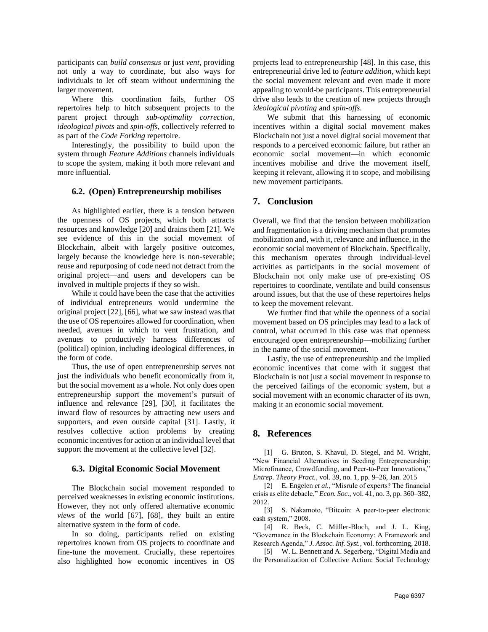participants can *build consensus* or just *vent*, providing not only a way to coordinate, but also ways for individuals to let off steam without undermining the larger movement.

Where this coordination fails, further OS repertoires help to hitch subsequent projects to the parent project through *sub-optimality correction*, *ideological pivots* and *spin-offs*, collectively referred to as part of the *Code Forking* repertoire.

Interestingly, the possibility to build upon the system through *Feature Additions* channels individuals to scope the system, making it both more relevant and more influential.

#### **6.2. (Open) Entrepreneurship mobilises**

As highlighted earlier, there is a tension between the openness of OS projects, which both attracts resources and knowledge [20] and drains them [21]. We see evidence of this in the social movement of Blockchain, albeit with largely positive outcomes, largely because the knowledge here is non-severable; reuse and repurposing of code need not detract from the original project—and users and developers can be involved in multiple projects if they so wish.

While it could have been the case that the activities of individual entrepreneurs would undermine the original project [22], [66], what we saw instead was that the use of OS repertoires allowed for coordination, when needed, avenues in which to vent frustration, and avenues to productively harness differences of (political) opinion, including ideological differences, in the form of code.

Thus, the use of open entrepreneurship serves not just the individuals who benefit economically from it, but the social movement as a whole. Not only does open entrepreneurship support the movement's pursuit of influence and relevance [29], [30], it facilitates the inward flow of resources by attracting new users and supporters, and even outside capital [31]. Lastly, it resolves collective action problems by creating economic incentives for action at an individual level that support the movement at the collective level [32].

#### **6.3. Digital Economic Social Movement**

The Blockchain social movement responded to perceived weaknesses in existing economic institutions. However, they not only offered alternative economic *views* of the world [67], [68], they built an entire alternative system in the form of code.

In so doing, participants relied on existing repertoires known from OS projects to coordinate and fine-tune the movement. Crucially, these repertoires also highlighted how economic incentives in OS projects lead to entrepreneurship [48]. In this case, this entrepreneurial drive led to *feature addition,* which kept the social movement relevant and even made it more appealing to would-be participants. This entrepreneurial drive also leads to the creation of new projects through *ideological pivoting* and *spin-offs*.

We submit that this harnessing of economic incentives within a digital social movement makes Blockchain not just a novel digital social movement that responds to a perceived economic failure, but rather an economic social movement—in which economic incentives mobilise and drive the movement itself, keeping it relevant, allowing it to scope, and mobilising new movement participants.

### **7. Conclusion**

Overall, we find that the tension between mobilization and fragmentation is a driving mechanism that promotes mobilization and, with it, relevance and influence, in the economic social movement of Blockchain. Specifically, this mechanism operates through individual-level activities as participants in the social movement of Blockchain not only make use of pre-existing OS repertoires to coordinate, ventilate and build consensus around issues, but that the use of these repertoires helps to keep the movement relevant.

We further find that while the openness of a social movement based on OS principles may lead to a lack of control, what occurred in this case was that openness encouraged open entrepreneurship—mobilizing further in the name of the social movement.

Lastly, the use of entrepreneurship and the implied economic incentives that come with it suggest that Blockchain is not just a social movement in response to the perceived failings of the economic system, but a social movement with an economic character of its own, making it an economic social movement.

# **8. References**

[1] G. Bruton, S. Khavul, D. Siegel, and M. Wright, "New Financial Alternatives in Seeding Entrepreneurship: Microfinance, Crowdfunding, and Peer‐to‐Peer Innovations," *Entrep. Theory Pract.*, vol. 39, no. 1, pp. 9–26, Jan. 2015

[2] E. Engelen *et al.*, "Misrule of experts? The financial crisis as elite debacle," *Econ. Soc.*, vol. 41, no. 3, pp. 360–382, 2012.

[3] S. Nakamoto, "Bitcoin: A peer-to-peer electronic cash system," 2008.

[4] R. Beck, C. Müller-Bloch, and J. L. King, "Governance in the Blockchain Economy: A Framework and Research Agenda," *J. Assoc. Inf. Syst.*, vol. forthcoming, 2018.

[5] W. L. Bennett and A. Segerberg, "Digital Media and the Personalization of Collective Action: Social Technology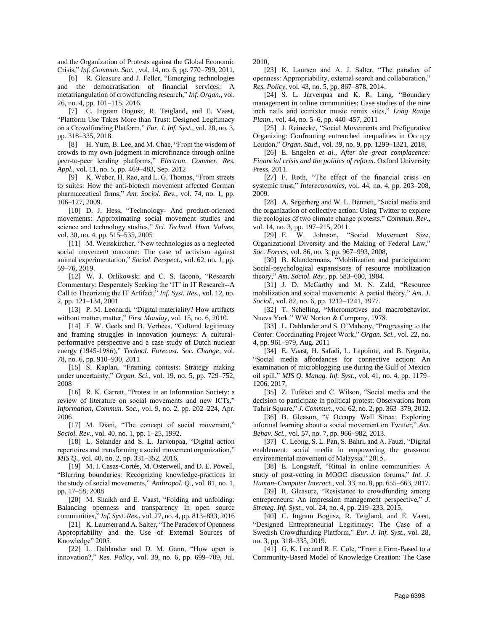and the Organization of Protests against the Global Economic Crisis," *Inf. Commun. Soc.* , vol. 14, no. 6, pp. 770–799, 2011,

[6] R. Gleasure and J. Feller, "Emerging technologies and the democratisation of financial services: A metatriangulation of crowdfunding research," *Inf. Organ.*, vol. 26, no. 4, pp. 101–115, 2016.

[7] C. Ingram Bogusz, R. Teigland, and E. Vaast, "Platform Use Takes More than Trust: Designed Legitimacy on a Crowdfunding Platform," *Eur. J. Inf. Syst.*, vol. 28, no. 3, pp. 318–335, 2018.

[8] H. Yum, B. Lee, and M. Chae, "From the wisdom of crowds to my own judgment in microfinance through online peer-to-peer lending platforms," *Electron. Commer. Res. Appl.*, vol. 11, no. 5, pp. 469–483, Sep. 2012

[9] K. Weber, H. Rao, and L. G. Thomas, "From streets to suites: How the anti-biotech movement affected German pharmaceutical firms," *Am. Sociol. Rev.*, vol. 74, no. 1, pp. 106–127, 2009.

[10] D. J. Hess, "Technology- And product-oriented movements: Approximating social movement studies and science and technology studies," *Sci. Technol. Hum. Values*, vol. 30, no. 4, pp. 515–535, 2005

[11] M. Weisskircher, "New technologies as a neglected social movement outcome: The case of activism against animal experimentation," *Sociol. Perspect.*, vol. 62, no. 1, pp. 59–76, 2019.

[12] W. J. Orlikowski and C. S. Iacono, "Research Commentary: Desperately Seeking the 'IT' in IT Research--A Call to Theorizing the IT Artifact," *Inf. Syst. Res.*, vol. 12, no. 2, pp. 121–134, 2001

[13] P. M. Leonardi, "Digital materiality? How artifacts without matter, matter," *First Monday*, vol. 15, no. 6, 2010.

[14] F. W. Geels and B. Verhees, "Cultural legitimacy" and framing struggles in innovation journeys: A culturalperformative perspective and a case study of Dutch nuclear energy (1945-1986)," *Technol. Forecast. Soc. Change*, vol. 78, no. 6, pp. 910–930, 2011

[15] S. Kaplan, "Framing contests: Strategy making under uncertainty," *Organ. Sci.*, vol. 19, no. 5, pp. 729–752, 2008

[16] R. K. Garrett, "Protest in an Information Society: a review of literature on social movements and new ICTs," *Information, Commun. Soc.*, vol. 9, no. 2, pp. 202–224, Apr. 2006

[17] M. Diani, "The concept of social movement," *Sociol. Rev.*, vol. 40, no. 1, pp. 1–25, 1992.

[18] L. Selander and S. L. Jarvenpaa, "Digital action repertoires and transforming a social movement organization," *MIS Q.*, vol. 40, no. 2, pp. 331–352, 2016,

[19] M. I. Casas-Cortés, M. Osterweil, and D. E. Powell, "Blurring boundaries: Recognizing knowledge-practices in the study of social movements," *Anthropol. Q.*, vol. 81, no. 1, pp. 17–58, 2008

[20] M. Shaikh and E. Vaast, "Folding and unfolding: Balancing openness and transparency in open source communities," *Inf. Syst. Res.*, vol. 27, no. 4, pp. 813–833, 2016

[21] K. Laursen and A. Salter, "The Paradox of Openness" Appropriability and the Use of External Sources of Knowledge" 2005.

[22] L. Dahlander and D. M. Gann, "How open is innovation?," *Res. Policy*, vol. 39, no. 6, pp. 699–709, Jul. 2010,

[23] K. Laursen and A. J. Salter, "The paradox of openness: Appropriability, external search and collaboration," *Res. Policy*, vol. 43, no. 5, pp. 867–878, 2014.

[24] S. L. Jarvenpaa and K. R. Lang, "Boundary management in online communities: Case studies of the nine inch nails and ccmixter music remix sites," *Long Range Plann.*, vol. 44, no. 5–6, pp. 440–457, 2011

[25] J. Reinecke, "Social Movements and Prefigurative Organizing: Confronting entrenched inequalities in Occupy London," *Organ. Stud.*, vol. 39, no. 9, pp. 1299–1321, 2018,

[26] E. Engelen *et al.*, *After the great complacence: Financial crisis and the politics of reform*. Oxford University Press, 2011.

[27] F. Roth, "The effect of the financial crisis on systemic trust," *Intereconomics*, vol. 44, no. 4, pp. 203–208, 2009.

[28] A. Segerberg and W. L. Bennett, "Social media and the organization of collective action: Using Twitter to explore the ecologies of two climate change protests," *Commun. Rev.*, vol. 14, no. 3, pp. 197–215, 2011.

[29] E. W. Johnson, "Social Movement Size, Organizational Diversity and the Making of Federal Law," *Soc. Forces*, vol. 86, no. 3, pp. 967–993, 2008,

[30] B. Klandermans, "Mobilization and participation: Social-psychological expansisons of resource mobilization theory," *Am. Sociol. Rev.*, pp. 583–600, 1984.

[31] J. D. McCarthy and M. N. Zald, "Resource mobilization and social movements: A partial theory," *Am. J. Sociol.*, vol. 82, no. 6, pp. 1212–1241, 1977.

[32] T. Schelling, "Micromotives and macrobehavior. Nueva York." WW Norton & Company, 1978.

[33] L. Dahlander and S. O'Mahony, "Progressing to the Center: Coordinating Project Work," *Organ. Sci.*, vol. 22, no. 4, pp. 961–979, Aug. 2011

[34] E. Vaast, H. Safadi, L. Lapointe, and B. Negoita, "Social media affordances for connective action: An examination of microblogging use during the Gulf of Mexico oil spill," *MIS Q. Manag. Inf. Syst.*, vol. 41, no. 4, pp. 1179– 1206, 2017,

[35] Z. Tufekci and C. Wilson, "Social media and the decision to participate in political protest: Observations from Tahrir Square," *J. Commun.*, vol. 62, no. 2, pp. 363–379, 2012.

[36] B. Gleason, "# Occupy Wall Street: Exploring informal learning about a social movement on Twitter," *Am. Behav. Sci.*, vol. 57, no. 7, pp. 966–982, 2013.

[37] C. Leong, S. L. Pan, S. Bahri, and A. Fauzi, "Digital enablement: social media in empowering the grassroot environmental movement of Malaysia," 2015.

[38] E. Longstaff, "Ritual in online communities: A study of post-voting in MOOC discussion forums," *Int. J. Human–Computer Interact.*, vol. 33, no. 8, pp. 655–663, 2017.

[39] R. Gleasure, "Resistance to crowdfunding among entrepreneurs: An impression management perspective," *J. Strateg. Inf. Syst.*, vol. 24, no. 4, pp. 219–233, 2015,

[40] C. Ingram Bogusz, R. Teigland, and E. Vaast, "Designed Entrepreneurial Legitimacy: The Case of a Swedish Crowdfunding Platform," *Eur. J. Inf. Syst.*, vol. 28, no. 3, pp. 318–335, 2019.

[41] G. K. Lee and R. E. Cole, "From a Firm-Based to a Community-Based Model of Knowledge Creation: The Case